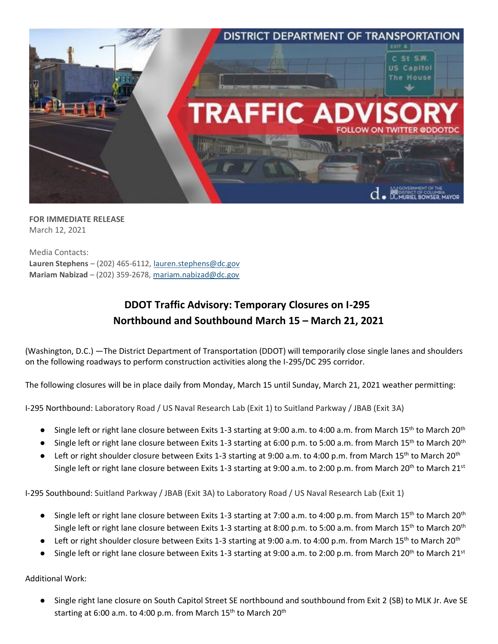

**FOR IMMEDIATE RELEASE** March 12, 2021

Media Contacts: **Lauren Stephens** – (202) 465-6112[, lauren.stephens@dc.gov](mailto:lauren.stephens@dc.gov) **Mariam Nabizad** – (202) 359-2678, [mariam.nabizad@dc.gov](mailto:mariam.nabizad@dc.gov)

## **DDOT Traffic Advisory: Temporary Closures on I-295 Northbound and Southbound March 15 – March 21, 2021**

(Washington, D.C.) —The District Department of Transportation (DDOT) will temporarily close single lanes and shoulders on the following roadways to perform construction activities along the I-295/DC 295 corridor.

The following closures will be in place daily from Monday, March 15 until Sunday, March 21, 2021 weather permitting:

I-295 Northbound: Laboratory Road / US Naval Research Lab (Exit 1) to Suitland Parkway / JBAB (Exit 3A)

- Single left or right lane closure between Exits 1-3 starting at 9:00 a.m. to 4:00 a.m. from March 15<sup>th</sup> to March 20<sup>th</sup>
- Single left or right lane closure between Exits 1-3 starting at 6:00 p.m. to 5:00 a.m. from March 15<sup>th</sup> to March 20<sup>th</sup>
- Left or right shoulder closure between Exits 1-3 starting at 9:00 a.m. to 4:00 p.m. from March 15<sup>th</sup> to March 20<sup>th</sup> Single left or right lane closure between Exits 1-3 starting at 9:00 a.m. to 2:00 p.m. from March 20<sup>th</sup> to March 21<sup>st</sup>

I-295 Southbound: Suitland Parkway / JBAB (Exit 3A) to Laboratory Road / US Naval Research Lab (Exit 1)

- Single left or right lane closure between Exits 1-3 starting at 7:00 a.m. to 4:00 p.m. from March 15<sup>th</sup> to March 20<sup>th</sup> Single left or right lane closure between Exits 1-3 starting at 8:00 p.m. to 5:00 a.m. from March 15<sup>th</sup> to March 20<sup>th</sup>
- $\bullet$  Left or right shoulder closure between Exits 1-3 starting at 9:00 a.m. to 4:00 p.m. from March 15<sup>th</sup> to March 20<sup>th</sup>
- Single left or right lane closure between Exits 1-3 starting at 9:00 a.m. to 2:00 p.m. from March 20<sup>th</sup> to March 21<sup>st</sup>

Additional Work:

● Single right lane closure on South Capitol Street SE northbound and southbound from Exit 2 (SB) to MLK Jr. Ave SE starting at 6:00 a.m. to 4:00 p.m. from March  $15<sup>th</sup>$  to March  $20<sup>th</sup>$